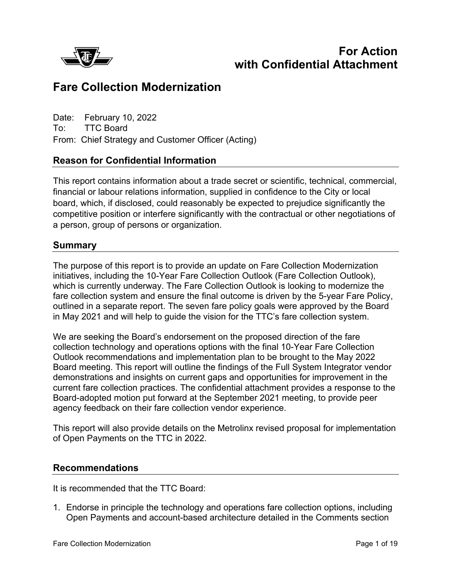

# **For Action with Confidential Attachment**

# **Fare Collection Modernization**

Date: February 10, 2022 To: TTC Board From: Chief Strategy and Customer Officer (Acting)

# **Reason for Confidential Information**

This report contains information about a trade secret or scientific, technical, commercial, financial or labour relations information, supplied in confidence to the City or local board, which, if disclosed, could reasonably be expected to prejudice significantly the competitive position or interfere significantly with the contractual or other negotiations of a person, group of persons or organization.

#### **Summary**

The purpose of this report is to provide an update on Fare Collection Modernization initiatives, including the 10-Year Fare Collection Outlook (Fare Collection Outlook), which is currently underway. The Fare Collection Outlook is looking to modernize the fare collection system and ensure the final outcome is driven by the 5-year Fare Policy, outlined in a separate report. The seven fare policy goals were approved by the Board in May 2021 and will help to guide the vision for the TTC's fare collection system.

We are seeking the Board's endorsement on the proposed direction of the fare collection technology and operations options with the final 10-Year Fare Collection Outlook recommendations and implementation plan to be brought to the May 2022 Board meeting. This report will outline the findings of the Full System Integrator vendor demonstrations and insights on current gaps and opportunities for improvement in the current fare collection practices. The confidential attachment provides a response to the Board-adopted motion put forward at the September 2021 meeting, to provide peer agency feedback on their fare collection vendor experience.

This report will also provide details on the Metrolinx revised proposal for implementation of Open Payments on the TTC in 2022.

# **Recommendations**

It is recommended that the TTC Board:

1. Endorse in principle the technology and operations fare collection options, including Open Payments and account-based architecture detailed in the Comments section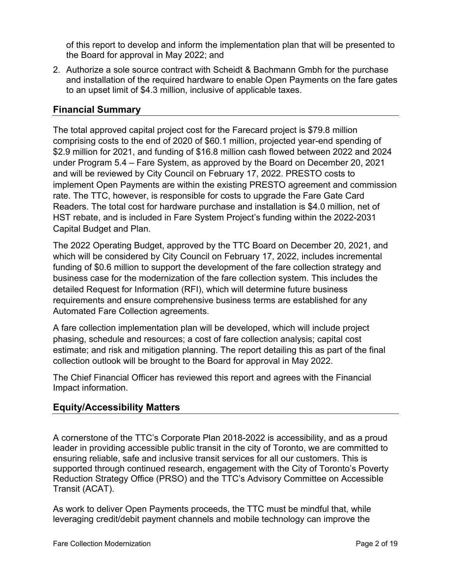of this report to develop and inform the implementation plan that will be presented to the Board for approval in May 2022; and

2. Authorize a sole source contract with Scheidt & Bachmann Gmbh for the purchase and installation of the required hardware to enable Open Payments on the fare gates to an upset limit of \$4.3 million, inclusive of applicable taxes.

# **Financial Summary**

The total approved capital project cost for the Farecard project is \$79.8 million comprising costs to the end of 2020 of \$60.1 million, projected year-end spending of \$2.9 million for 2021, and funding of \$16.8 million cash flowed between 2022 and 2024 under Program 5.4 – Fare System, as approved by the Board on December 20, 2021 and will be reviewed by City Council on February 17, 2022. PRESTO costs to implement Open Payments are within the existing PRESTO agreement and commission rate. The TTC, however, is responsible for costs to upgrade the Fare Gate Card Readers. The total cost for hardware purchase and installation is \$4.0 million, net of HST rebate, and is included in Fare System Project's funding within the 2022-2031 Capital Budget and Plan.

The 2022 Operating Budget, approved by the TTC Board on December 20, 2021, and which will be considered by City Council on February 17, 2022, includes incremental funding of \$0.6 million to support the development of the fare collection strategy and business case for the modernization of the fare collection system. This includes the detailed Request for Information (RFI), which will determine future business requirements and ensure comprehensive business terms are established for any Automated Fare Collection agreements.

A fare collection implementation plan will be developed, which will include project phasing, schedule and resources; a cost of fare collection analysis; capital cost estimate; and risk and mitigation planning. The report detailing this as part of the final collection outlook will be brought to the Board for approval in May 2022.

The Chief Financial Officer has reviewed this report and agrees with the Financial Impact information.

# **Equity/Accessibility Matters**

A cornerstone of the TTC's Corporate Plan 2018-2022 is accessibility, and as a proud leader in providing accessible public transit in the city of Toronto, we are committed to ensuring reliable, safe and inclusive transit services for all our customers. This is supported through continued research, engagement with the City of Toronto's Poverty Reduction Strategy Office (PRSO) and the TTC's Advisory Committee on Accessible Transit (ACAT).

As work to deliver Open Payments proceeds, the TTC must be mindful that, while leveraging credit/debit payment channels and mobile technology can improve the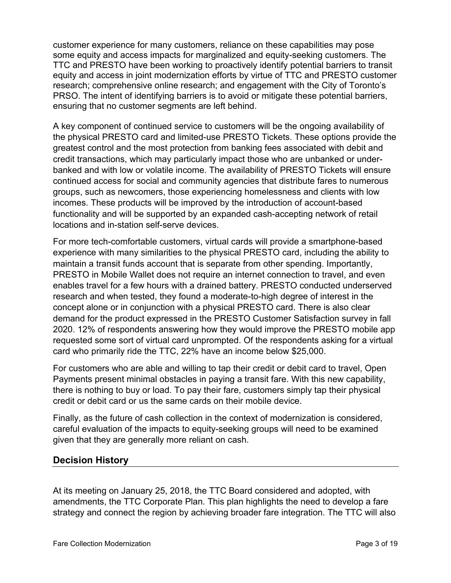customer experience for many customers, reliance on these capabilities may pose some equity and access impacts for marginalized and equity-seeking customers. The TTC and PRESTO have been working to proactively identify potential barriers to transit equity and access in joint modernization efforts by virtue of TTC and PRESTO customer research; comprehensive online research; and engagement with the City of Toronto's PRSO. The intent of identifying barriers is to avoid or mitigate these potential barriers, ensuring that no customer segments are left behind.

A key component of continued service to customers will be the ongoing availability of the physical PRESTO card and limited-use PRESTO Tickets. These options provide the greatest control and the most protection from banking fees associated with debit and credit transactions, which may particularly impact those who are unbanked or underbanked and with low or volatile income. The availability of PRESTO Tickets will ensure continued access for social and community agencies that distribute fares to numerous groups, such as newcomers, those experiencing homelessness and clients with low incomes. These products will be improved by the introduction of account-based functionality and will be supported by an expanded cash-accepting network of retail locations and in-station self-serve devices.

For more tech-comfortable customers, virtual cards will provide a smartphone-based experience with many similarities to the physical PRESTO card, including the ability to maintain a transit funds account that is separate from other spending. Importantly, PRESTO in Mobile Wallet does not require an internet connection to travel, and even enables travel for a few hours with a drained battery. PRESTO conducted underserved research and when tested, they found a moderate-to-high degree of interest in the concept alone or in conjunction with a physical PRESTO card. There is also clear demand for the product expressed in the PRESTO Customer Satisfaction survey in fall 2020. 12% of respondents answering how they would improve the PRESTO mobile app requested some sort of virtual card unprompted. Of the respondents asking for a virtual card who primarily ride the TTC, 22% have an income below \$25,000.

For customers who are able and willing to tap their credit or debit card to travel, Open Payments present minimal obstacles in paying a transit fare. With this new capability, there is nothing to buy or load. To pay their fare, customers simply tap their physical credit or debit card or us the same cards on their mobile device.

Finally, as the future of cash collection in the context of modernization is considered, careful evaluation of the impacts to equity-seeking groups will need to be examined given that they are generally more reliant on cash.

# **Decision History**

At its meeting on January 25, 2018, the TTC Board considered and adopted, with amendments, the TTC Corporate Plan. This plan highlights the need to develop a fare strategy and connect the region by achieving broader fare integration. The TTC will also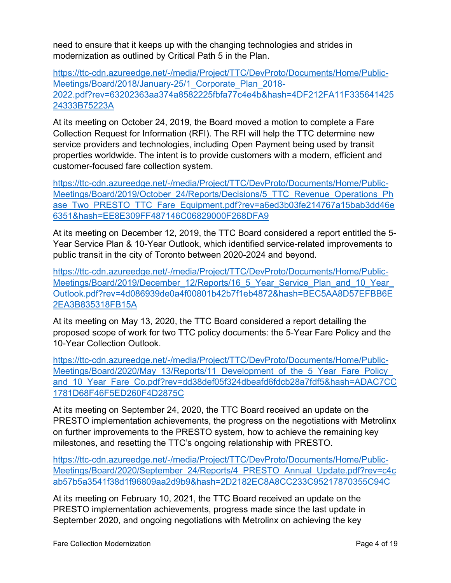need to ensure that it keeps up with the changing technologies and strides in modernization as outlined by Critical Path 5 in the Plan.

[https://ttc-cdn.azureedge.net/-/media/Project/TTC/DevProto/Documents/Home/Public-](https://ttc-cdn.azureedge.net/-/media/Project/TTC/DevProto/Documents/Home/Public-Meetings/Board/2018/January-25/1_Corporate_Plan_2018-2022.pdf?rev=63202363aa374a8582225fbfa77c4e4b&hash=4DF212FA11F33564142524333B75223A)[Meetings/Board/2018/January-25/1\\_Corporate\\_Plan\\_2018-](https://ttc-cdn.azureedge.net/-/media/Project/TTC/DevProto/Documents/Home/Public-Meetings/Board/2018/January-25/1_Corporate_Plan_2018-2022.pdf?rev=63202363aa374a8582225fbfa77c4e4b&hash=4DF212FA11F33564142524333B75223A) [2022.pdf?rev=63202363aa374a8582225fbfa77c4e4b&hash=4DF212FA11F335641425](https://ttc-cdn.azureedge.net/-/media/Project/TTC/DevProto/Documents/Home/Public-Meetings/Board/2018/January-25/1_Corporate_Plan_2018-2022.pdf?rev=63202363aa374a8582225fbfa77c4e4b&hash=4DF212FA11F33564142524333B75223A) [24333B75223A](https://ttc-cdn.azureedge.net/-/media/Project/TTC/DevProto/Documents/Home/Public-Meetings/Board/2018/January-25/1_Corporate_Plan_2018-2022.pdf?rev=63202363aa374a8582225fbfa77c4e4b&hash=4DF212FA11F33564142524333B75223A)

At its meeting on October 24, 2019, the Board moved a motion to complete a Fare Collection Request for Information (RFI). The RFI will help the TTC determine new service providers and technologies, including Open Payment being used by transit properties worldwide. The intent is to provide customers with a modern, efficient and customer-focused fare collection system.

[https://ttc-cdn.azureedge.net/-/media/Project/TTC/DevProto/Documents/Home/Public-](https://ttc-cdn.azureedge.net/-/media/Project/TTC/DevProto/Documents/Home/Public-Meetings/Board/2019/October_24/Reports/Decisions/5_TTC_Revenue_Operations_Phase_Two_PRESTO_TTC_Fare_Equipment.pdf?rev=a6ed3b03fe214767a15bab3dd46e6351&hash=EE8E309FF487146C06829000F268DFA9)[Meetings/Board/2019/October\\_24/Reports/Decisions/5\\_TTC\\_Revenue\\_Operations\\_Ph](https://ttc-cdn.azureedge.net/-/media/Project/TTC/DevProto/Documents/Home/Public-Meetings/Board/2019/October_24/Reports/Decisions/5_TTC_Revenue_Operations_Phase_Two_PRESTO_TTC_Fare_Equipment.pdf?rev=a6ed3b03fe214767a15bab3dd46e6351&hash=EE8E309FF487146C06829000F268DFA9) [ase\\_Two\\_PRESTO\\_TTC\\_Fare\\_Equipment.pdf?rev=a6ed3b03fe214767a15bab3dd46e](https://ttc-cdn.azureedge.net/-/media/Project/TTC/DevProto/Documents/Home/Public-Meetings/Board/2019/October_24/Reports/Decisions/5_TTC_Revenue_Operations_Phase_Two_PRESTO_TTC_Fare_Equipment.pdf?rev=a6ed3b03fe214767a15bab3dd46e6351&hash=EE8E309FF487146C06829000F268DFA9) [6351&hash=EE8E309FF487146C06829000F268DFA9](https://ttc-cdn.azureedge.net/-/media/Project/TTC/DevProto/Documents/Home/Public-Meetings/Board/2019/October_24/Reports/Decisions/5_TTC_Revenue_Operations_Phase_Two_PRESTO_TTC_Fare_Equipment.pdf?rev=a6ed3b03fe214767a15bab3dd46e6351&hash=EE8E309FF487146C06829000F268DFA9)

At its meeting on December 12, 2019, the TTC Board considered a report entitled the 5- Year Service Plan & 10-Year Outlook, which identified service-related improvements to public transit in the city of Toronto between 2020-2024 and beyond.

[https://ttc-cdn.azureedge.net/-/media/Project/TTC/DevProto/Documents/Home/Public-](https://ttc-cdn.azureedge.net/-/media/Project/TTC/DevProto/Documents/Home/Public-Meetings/Board/2019/December_12/Reports/16_5_Year_Service_Plan_and_10_Year_Outlook.pdf?rev=4d086939de0a4f00801b42b7f1eb4872&hash=BEC5AA8D57EFBB6E2EA3B835318FB15A)Meetings/Board/2019/December\_12/Reports/16\_5\_Year\_Service\_Plan\_and\_10\_Year [Outlook.pdf?rev=4d086939de0a4f00801b42b7f1eb4872&hash=BEC5AA8D57EFBB6E](https://ttc-cdn.azureedge.net/-/media/Project/TTC/DevProto/Documents/Home/Public-Meetings/Board/2019/December_12/Reports/16_5_Year_Service_Plan_and_10_Year_Outlook.pdf?rev=4d086939de0a4f00801b42b7f1eb4872&hash=BEC5AA8D57EFBB6E2EA3B835318FB15A) [2EA3B835318FB15A](https://ttc-cdn.azureedge.net/-/media/Project/TTC/DevProto/Documents/Home/Public-Meetings/Board/2019/December_12/Reports/16_5_Year_Service_Plan_and_10_Year_Outlook.pdf?rev=4d086939de0a4f00801b42b7f1eb4872&hash=BEC5AA8D57EFBB6E2EA3B835318FB15A)

At its meeting on May 13, 2020, the TTC Board considered a report detailing the proposed scope of work for two TTC policy documents: the 5-Year Fare Policy and the 10-Year Collection Outlook.

[https://ttc-cdn.azureedge.net/-/media/Project/TTC/DevProto/Documents/Home/Public-](https://ttc-cdn.azureedge.net/-/media/Project/TTC/DevProto/Documents/Home/Public-Meetings/Board/2020/May_13/Reports/11_Development_of_the_5_Year_Fare_Policy_and_10_Year_Fare_Co.pdf?rev=dd38def05f324dbeafd6fdcb28a7fdf5&hash=ADAC7CC1781D68F46F5ED260F4D2875C)Meetings/Board/2020/May\_13/Reports/11\_Development\_of\_the\_5\_Year\_Fare\_Policy and 10 Year Fare Co.pdf?rev=dd38def05f324dbeafd6fdcb28a7fdf5&hash=ADAC7CC [1781D68F46F5ED260F4D2875C](https://ttc-cdn.azureedge.net/-/media/Project/TTC/DevProto/Documents/Home/Public-Meetings/Board/2020/May_13/Reports/11_Development_of_the_5_Year_Fare_Policy_and_10_Year_Fare_Co.pdf?rev=dd38def05f324dbeafd6fdcb28a7fdf5&hash=ADAC7CC1781D68F46F5ED260F4D2875C)

At its meeting on September 24, 2020, the TTC Board received an update on the PRESTO implementation achievements, the progress on the negotiations with Metrolinx on further improvements to the PRESTO system, how to achieve the remaining key milestones, and resetting the TTC's ongoing relationship with PRESTO.

[https://ttc-cdn.azureedge.net/-/media/Project/TTC/DevProto/Documents/Home/Public-](https://ttc-cdn.azureedge.net/-/media/Project/TTC/DevProto/Documents/Home/Public-Meetings/Board/2020/September_24/Reports/4_PRESTO_Annual_Update.pdf?rev=c4cab57b5a3541f38d1f96809aa2d9b9&hash=2D2182EC8A8CC233C95217870355C94C)[Meetings/Board/2020/September\\_24/Reports/4\\_PRESTO\\_Annual\\_Update.pdf?rev=c4c](https://ttc-cdn.azureedge.net/-/media/Project/TTC/DevProto/Documents/Home/Public-Meetings/Board/2020/September_24/Reports/4_PRESTO_Annual_Update.pdf?rev=c4cab57b5a3541f38d1f96809aa2d9b9&hash=2D2182EC8A8CC233C95217870355C94C) [ab57b5a3541f38d1f96809aa2d9b9&hash=2D2182EC8A8CC233C95217870355C94C](https://ttc-cdn.azureedge.net/-/media/Project/TTC/DevProto/Documents/Home/Public-Meetings/Board/2020/September_24/Reports/4_PRESTO_Annual_Update.pdf?rev=c4cab57b5a3541f38d1f96809aa2d9b9&hash=2D2182EC8A8CC233C95217870355C94C)

At its meeting on February 10, 2021, the TTC Board received an update on the PRESTO implementation achievements, progress made since the last update in September 2020, and ongoing negotiations with Metrolinx on achieving the key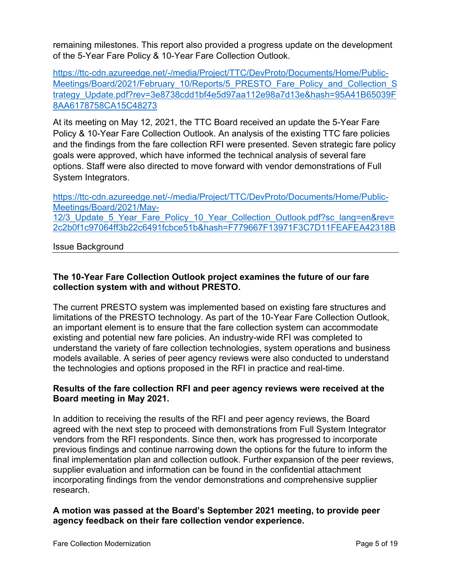remaining milestones. This report also provided a progress update on the development of the 5-Year Fare Policy & 10-Year Fare Collection Outlook.

[https://ttc-cdn.azureedge.net/-/media/Project/TTC/DevProto/Documents/Home/Public-](https://ttc-cdn.azureedge.net/-/media/Project/TTC/DevProto/Documents/Home/Public-Meetings/Board/2021/February_10/Reports/5_PRESTO_Fare_Policy_and_Collection_Strategy_Update.pdf?rev=3e8738cdd1bf4e5d97aa112e98a7d13e&hash=95A41B65039F8AA6178758CA15C48273)[Meetings/Board/2021/February\\_10/Reports/5\\_PRESTO\\_Fare\\_Policy\\_and\\_Collection\\_S](https://ttc-cdn.azureedge.net/-/media/Project/TTC/DevProto/Documents/Home/Public-Meetings/Board/2021/February_10/Reports/5_PRESTO_Fare_Policy_and_Collection_Strategy_Update.pdf?rev=3e8738cdd1bf4e5d97aa112e98a7d13e&hash=95A41B65039F8AA6178758CA15C48273) [trategy\\_Update.pdf?rev=3e8738cdd1bf4e5d97aa112e98a7d13e&hash=95A41B65039F](https://ttc-cdn.azureedge.net/-/media/Project/TTC/DevProto/Documents/Home/Public-Meetings/Board/2021/February_10/Reports/5_PRESTO_Fare_Policy_and_Collection_Strategy_Update.pdf?rev=3e8738cdd1bf4e5d97aa112e98a7d13e&hash=95A41B65039F8AA6178758CA15C48273) [8AA6178758CA15C48273](https://ttc-cdn.azureedge.net/-/media/Project/TTC/DevProto/Documents/Home/Public-Meetings/Board/2021/February_10/Reports/5_PRESTO_Fare_Policy_and_Collection_Strategy_Update.pdf?rev=3e8738cdd1bf4e5d97aa112e98a7d13e&hash=95A41B65039F8AA6178758CA15C48273)

At its meeting on May 12, 2021, the TTC Board received an update the 5-Year Fare Policy & 10-Year Fare Collection Outlook. An analysis of the existing TTC fare policies and the findings from the fare collection RFI were presented. Seven strategic fare policy goals were approved, which have informed the technical analysis of several fare options. Staff were also directed to move forward with vendor demonstrations of Full System Integrators.

[https://ttc-cdn.azureedge.net/-/media/Project/TTC/DevProto/Documents/Home/Public-](https://ttc-cdn.azureedge.net/-/media/Project/TTC/DevProto/Documents/Home/Public-Meetings/Board/2021/May-12/3_Update_5_Year_Fare_Policy_10_Year_Collection_Outlook.pdf?sc_lang=en&rev=2c2b0f1c97064ff3b22c6491fcbce51b&hash=F779667F13971F3C7D11FEAFEA42318B)[Meetings/Board/2021/May-](https://ttc-cdn.azureedge.net/-/media/Project/TTC/DevProto/Documents/Home/Public-Meetings/Board/2021/May-12/3_Update_5_Year_Fare_Policy_10_Year_Collection_Outlook.pdf?sc_lang=en&rev=2c2b0f1c97064ff3b22c6491fcbce51b&hash=F779667F13971F3C7D11FEAFEA42318B)12/3 Update 5 Year Fare Policy 10 Year Collection Outlook.pdf?sc\_lang=en&rev= [2c2b0f1c97064ff3b22c6491fcbce51b&hash=F779667F13971F3C7D11FEAFEA42318B](https://ttc-cdn.azureedge.net/-/media/Project/TTC/DevProto/Documents/Home/Public-Meetings/Board/2021/May-12/3_Update_5_Year_Fare_Policy_10_Year_Collection_Outlook.pdf?sc_lang=en&rev=2c2b0f1c97064ff3b22c6491fcbce51b&hash=F779667F13971F3C7D11FEAFEA42318B)

Issue Background

# **The 10-Year Fare Collection Outlook project examines the future of our fare collection system with and without PRESTO.**

The current PRESTO system was implemented based on existing fare structures and limitations of the PRESTO technology. As part of the 10-Year Fare Collection Outlook, an important element is to ensure that the fare collection system can accommodate existing and potential new fare policies. An industry-wide RFI was completed to understand the variety of fare collection technologies, system operations and business models available. A series of peer agency reviews were also conducted to understand the technologies and options proposed in the RFI in practice and real-time.

# **Results of the fare collection RFI and peer agency reviews were received at the Board meeting in May 2021.**

In addition to receiving the results of the RFI and peer agency reviews, the Board agreed with the next step to proceed with demonstrations from Full System Integrator vendors from the RFI respondents. Since then, work has progressed to incorporate previous findings and continue narrowing down the options for the future to inform the final implementation plan and collection outlook. Further expansion of the peer reviews, supplier evaluation and information can be found in the confidential attachment incorporating findings from the vendor demonstrations and comprehensive supplier research.

# **A motion was passed at the Board's September 2021 meeting, to provide peer agency feedback on their fare collection vendor experience.**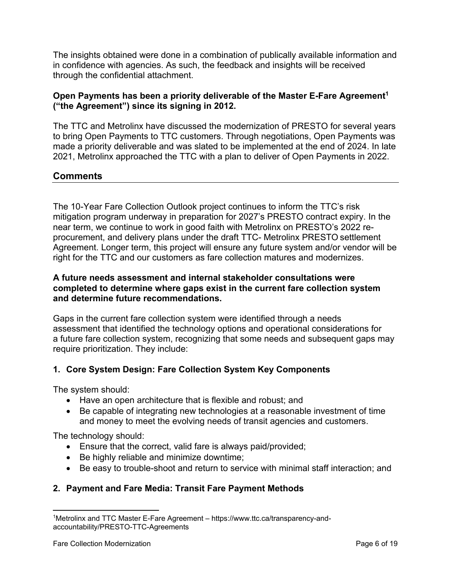The insights obtained were done in a combination of publically available information and in confidence with agencies. As such, the feedback and insights will be received through the confidential attachment.

# **Open Payments has been a priority deliverable of the Master E-Fare Agreement<sup>1</sup> ("the Agreement") since its signing in 2012.**

The TTC and Metrolinx have discussed the modernization of PRESTO for several years to bring Open Payments to TTC customers. Through negotiations, Open Payments was made a priority deliverable and was slated to be implemented at the end of 2024. In late 2021, Metrolinx approached the TTC with a plan to deliver of Open Payments in 2022.

# **Comments**

The 10-Year Fare Collection Outlook project continues to inform the TTC's risk mitigation program underway in preparation for 2027's PRESTO contract expiry. In the near term, we continue to work in good faith with Metrolinx on PRESTO's 2022 reprocurement, and delivery plans under the draft TTC- Metrolinx PRESTO settlement Agreement. Longer term, this project will ensure any future system and/or vendor will be right for the TTC and our customers as fare collection matures and modernizes.

# **A future needs assessment and internal stakeholder consultations were completed to determine where gaps exist in the current fare collection system and determine future recommendations.**

Gaps in the current fare collection system were identified through a needs assessment that identified the technology options and operational considerations for a future fare collection system, recognizing that some needs and subsequent gaps may require prioritization. They include:

# **1. Core System Design: Fare Collection System Key Components**

The system should:

- Have an open architecture that is flexible and robust; and
- Be capable of integrating new technologies at a reasonable investment of time and money to meet the evolving needs of transit agencies and customers.

The technology should:

- Ensure that the correct, valid fare is always paid/provided;
- Be highly reliable and minimize downtime;
- Be easy to trouble-shoot and return to service with minimal staff interaction; and

# **2. Payment and Fare Media: Transit Fare Payment Methods**

 $\overline{\phantom{a}}$ 

<sup>1</sup>Metrolinx and TTC Master E-Fare Agreement – https://www.ttc.ca/transparency-andaccountability/PRESTO-TTC-Agreements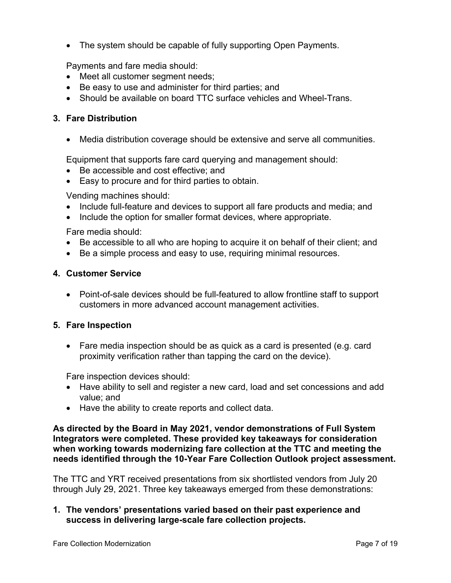• The system should be capable of fully supporting Open Payments.

Payments and fare media should:

- Meet all customer segment needs;
- Be easy to use and administer for third parties; and
- Should be available on board TTC surface vehicles and Wheel-Trans.

# **3. Fare Distribution**

Media distribution coverage should be extensive and serve all communities.

Equipment that supports fare card querying and management should:

- Be accessible and cost effective; and
- Easy to procure and for third parties to obtain.

Vending machines should:

- Include full-feature and devices to support all fare products and media; and
- Include the option for smaller format devices, where appropriate.

Fare media should:

- Be accessible to all who are hoping to acquire it on behalf of their client; and
- Be a simple process and easy to use, requiring minimal resources.

#### **4. Customer Service**

 Point-of-sale devices should be full-featured to allow frontline staff to support customers in more advanced account management activities.

#### **5. Fare Inspection**

 Fare media inspection should be as quick as a card is presented (e.g. card proximity verification rather than tapping the card on the device).

Fare inspection devices should:

- Have ability to sell and register a new card, load and set concessions and add value; and
- Have the ability to create reports and collect data.

**As directed by the Board in May 2021, vendor demonstrations of Full System Integrators were completed. These provided key takeaways for consideration when working towards modernizing fare collection at the TTC and meeting the needs identified through the 10-Year Fare Collection Outlook project assessment.** 

The TTC and YRT received presentations from six shortlisted vendors from July 20 through July 29, 2021. Three key takeaways emerged from these demonstrations:

**1. The vendors' presentations varied based on their past experience and success in delivering large-scale fare collection projects.**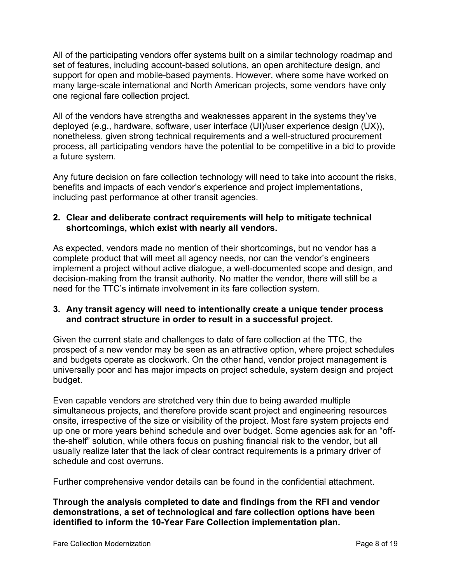All of the participating vendors offer systems built on a similar technology roadmap and set of features, including account-based solutions, an open architecture design, and support for open and mobile-based payments. However, where some have worked on many large-scale international and North American projects, some vendors have only one regional fare collection project.

All of the vendors have strengths and weaknesses apparent in the systems they've deployed (e.g., hardware, software, user interface (UI)/user experience design (UX)), nonetheless, given strong technical requirements and a well-structured procurement process, all participating vendors have the potential to be competitive in a bid to provide a future system.

Any future decision on fare collection technology will need to take into account the risks, benefits and impacts of each vendor's experience and project implementations, including past performance at other transit agencies.

# **2. Clear and deliberate contract requirements will help to mitigate technical shortcomings, which exist with nearly all vendors.**

As expected, vendors made no mention of their shortcomings, but no vendor has a complete product that will meet all agency needs, nor can the vendor's engineers implement a project without active dialogue, a well-documented scope and design, and decision-making from the transit authority. No matter the vendor, there will still be a need for the TTC's intimate involvement in its fare collection system.

# **3. Any transit agency will need to intentionally create a unique tender process and contract structure in order to result in a successful project.**

Given the current state and challenges to date of fare collection at the TTC, the prospect of a new vendor may be seen as an attractive option, where project schedules and budgets operate as clockwork. On the other hand, vendor project management is universally poor and has major impacts on project schedule, system design and project budget.

Even capable vendors are stretched very thin due to being awarded multiple simultaneous projects, and therefore provide scant project and engineering resources onsite, irrespective of the size or visibility of the project. Most fare system projects end up one or more years behind schedule and over budget. Some agencies ask for an "offthe-shelf" solution, while others focus on pushing financial risk to the vendor, but all usually realize later that the lack of clear contract requirements is a primary driver of schedule and cost overruns.

Further comprehensive vendor details can be found in the confidential attachment.

**Through the analysis completed to date and findings from the RFI and vendor demonstrations, a set of technological and fare collection options have been identified to inform the 10-Year Fare Collection implementation plan.**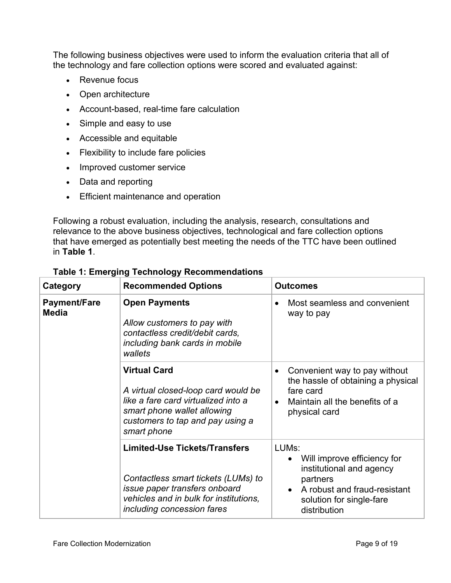The following business objectives were used to inform the evaluation criteria that all of the technology and fare collection options were scored and evaluated against:

- Revenue focus
- Open architecture
- Account-based, real-time fare calculation
- Simple and easy to use
- Accessible and equitable
- Flexibility to include fare policies
- Improved customer service
- Data and reporting
- **Efficient maintenance and operation**

Following a robust evaluation, including the analysis, research, consultations and relevance to the above business objectives, technological and fare collection options that have emerged as potentially best meeting the needs of the TTC have been outlined in **Table 1**.

| Category                            | <b>Recommended Options</b>                                                                                                                                                           | <b>Outcomes</b>                                                                                                                                                       |  |
|-------------------------------------|--------------------------------------------------------------------------------------------------------------------------------------------------------------------------------------|-----------------------------------------------------------------------------------------------------------------------------------------------------------------------|--|
| <b>Payment/Fare</b><br><b>Media</b> | <b>Open Payments</b><br>Allow customers to pay with<br>contactless credit/debit cards,<br>including bank cards in mobile<br>wallets                                                  | Most seamless and convenient<br>way to pay                                                                                                                            |  |
|                                     | <b>Virtual Card</b><br>A virtual closed-loop card would be<br>like a fare card virtualized into a<br>smart phone wallet allowing<br>customers to tap and pay using a<br>smart phone  | Convenient way to pay without<br>the hassle of obtaining a physical<br>fare card<br>Maintain all the benefits of a<br>$\bullet$<br>physical card                      |  |
|                                     | <b>Limited-Use Tickets/Transfers</b><br>Contactless smart tickets (LUMs) to<br>issue paper transfers onboard<br>vehicles and in bulk for institutions,<br>including concession fares | LUM <sub>s</sub> :<br>Will improve efficiency for<br>institutional and agency<br>partners<br>A robust and fraud-resistant<br>solution for single-fare<br>distribution |  |

**Table 1: Emerging Technology Recommendations**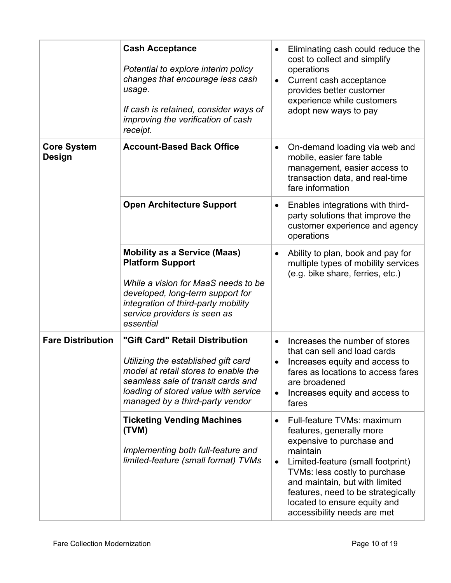|                              | <b>Cash Acceptance</b><br>Potential to explore interim policy<br>changes that encourage less cash<br>usage.<br>If cash is retained, consider ways of<br>improving the verification of cash<br>receipt.                          | Eliminating cash could reduce the<br>$\bullet$<br>cost to collect and simplify<br>operations<br>Current cash acceptance<br>$\bullet$<br>provides better customer<br>experience while customers<br>adopt new ways to pay                                                                                                                |
|------------------------------|---------------------------------------------------------------------------------------------------------------------------------------------------------------------------------------------------------------------------------|----------------------------------------------------------------------------------------------------------------------------------------------------------------------------------------------------------------------------------------------------------------------------------------------------------------------------------------|
| <b>Core System</b><br>Design | <b>Account-Based Back Office</b>                                                                                                                                                                                                | On-demand loading via web and<br>$\bullet$<br>mobile, easier fare table<br>management, easier access to<br>transaction data, and real-time<br>fare information                                                                                                                                                                         |
|                              | <b>Open Architecture Support</b>                                                                                                                                                                                                | Enables integrations with third-<br>$\bullet$<br>party solutions that improve the<br>customer experience and agency<br>operations                                                                                                                                                                                                      |
|                              | <b>Mobility as a Service (Maas)</b><br><b>Platform Support</b><br>While a vision for MaaS needs to be<br>developed, long-term support for<br>integration of third-party mobility<br>service providers is seen as<br>essential   | Ability to plan, book and pay for<br>$\bullet$<br>multiple types of mobility services<br>(e.g. bike share, ferries, etc.)                                                                                                                                                                                                              |
| <b>Fare Distribution</b>     | "Gift Card" Retail Distribution<br>Utilizing the established gift card<br>model at retail stores to enable the<br>seamless sale of transit cards and<br>loading of stored value with service<br>managed by a third-party vendor | Increases the number of stores<br>$\bullet$<br>that can sell and load cards<br>Increases equity and access to<br>$\bullet$<br>fares as locations to access fares<br>are broadened<br>Increases equity and access to<br>$\bullet$<br>fares                                                                                              |
|                              | <b>Ticketing Vending Machines</b><br>(TVM)<br>Implementing both full-feature and<br>limited-feature (small format) TVMs                                                                                                         | Full-feature TVMs: maximum<br>$\bullet$<br>features, generally more<br>expensive to purchase and<br>maintain<br>Limited-feature (small footprint)<br>$\bullet$<br>TVMs: less costly to purchase<br>and maintain, but with limited<br>features, need to be strategically<br>located to ensure equity and<br>accessibility needs are met |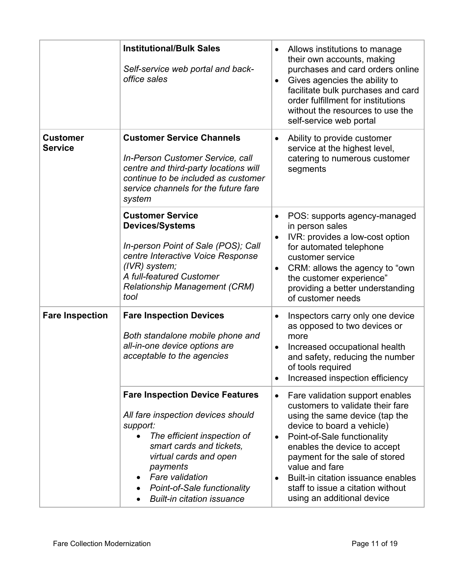|                                   | <b>Institutional/Bulk Sales</b><br>Self-service web portal and back-<br>office sales                                                                                                                                                                                                                                                  | Allows institutions to manage<br>$\bullet$<br>their own accounts, making<br>purchases and card orders online<br>Gives agencies the ability to<br>$\bullet$<br>facilitate bulk purchases and card<br>order fulfillment for institutions<br>without the resources to use the<br>self-service web portal                                                                                                  |
|-----------------------------------|---------------------------------------------------------------------------------------------------------------------------------------------------------------------------------------------------------------------------------------------------------------------------------------------------------------------------------------|--------------------------------------------------------------------------------------------------------------------------------------------------------------------------------------------------------------------------------------------------------------------------------------------------------------------------------------------------------------------------------------------------------|
| <b>Customer</b><br><b>Service</b> | <b>Customer Service Channels</b><br>In-Person Customer Service, call<br>centre and third-party locations will<br>continue to be included as customer<br>service channels for the future fare<br>system                                                                                                                                | Ability to provide customer<br>$\bullet$<br>service at the highest level,<br>catering to numerous customer<br>segments                                                                                                                                                                                                                                                                                 |
|                                   | <b>Customer Service</b><br><b>Devices/Systems</b><br>In-person Point of Sale (POS); Call<br>centre Interactive Voice Response<br>$(IVR)$ system;<br>A full-featured Customer<br><b>Relationship Management (CRM)</b><br>tool                                                                                                          | POS: supports agency-managed<br>in person sales<br>IVR: provides a low-cost option<br>$\bullet$<br>for automated telephone<br>customer service<br>CRM: allows the agency to "own<br>$\bullet$<br>the customer experience"<br>providing a better understanding<br>of customer needs                                                                                                                     |
| <b>Fare Inspection</b>            | <b>Fare Inspection Devices</b><br>Both standalone mobile phone and<br>all-in-one device options are<br>acceptable to the agencies                                                                                                                                                                                                     | Inspectors carry only one device<br>$\bullet$<br>as opposed to two devices or<br>more<br>Increased occupational health<br>$\bullet$<br>and safety, reducing the number<br>of tools required<br>Increased inspection efficiency                                                                                                                                                                         |
|                                   | <b>Fare Inspection Device Features</b><br>All fare inspection devices should<br>support:<br>The efficient inspection of<br>$\bullet$<br>smart cards and tickets,<br>virtual cards and open<br>payments<br><b>Fare validation</b><br>$\bullet$<br><b>Point-of-Sale functionality</b><br>$\bullet$<br><b>Built-in citation issuance</b> | Fare validation support enables<br>$\bullet$<br>customers to validate their fare<br>using the same device (tap the<br>device to board a vehicle)<br>Point-of-Sale functionality<br>$\bullet$<br>enables the device to accept<br>payment for the sale of stored<br>value and fare<br>Built-in citation issuance enables<br>$\bullet$<br>staff to issue a citation without<br>using an additional device |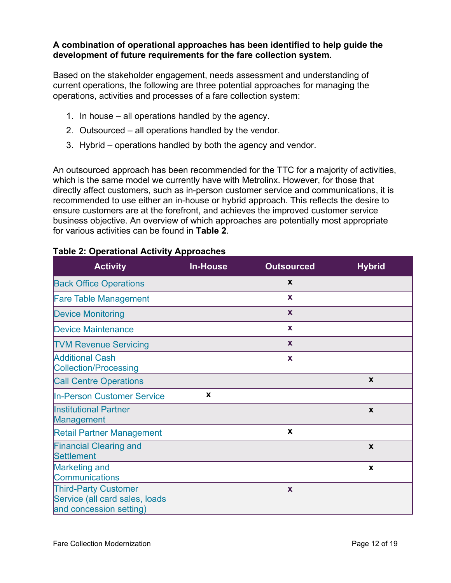### **A combination of operational approaches has been identified to help guide the development of future requirements for the fare collection system.**

Based on the stakeholder engagement, needs assessment and understanding of current operations, the following are three potential approaches for managing the operations, activities and processes of a fare collection system:

- 1. In house all operations handled by the agency.
- 2. Outsourced all operations handled by the vendor.
- 3. Hybrid operations handled by both the agency and vendor.

An outsourced approach has been recommended for the TTC for a majority of activities, which is the same model we currently have with Metrolinx. However, for those that directly affect customers, such as in-person customer service and communications, it is recommended to use either an in-house or hybrid approach. This reflects the desire to ensure customers are at the forefront, and achieves the improved customer service business objective. An overview of which approaches are potentially most appropriate for various activities can be found in **Table 2**.

| <b>Activity</b>                                                                          | <b>In-House</b> | <b>Outsourced</b> | <b>Hybrid</b>    |
|------------------------------------------------------------------------------------------|-----------------|-------------------|------------------|
| <b>Back Office Operations</b>                                                            |                 | X                 |                  |
| <b>Fare Table Management</b>                                                             |                 | X                 |                  |
| <b>Device Monitoring</b>                                                                 |                 | X                 |                  |
| <b>Device Maintenance</b>                                                                |                 | X                 |                  |
| <b>TVM Revenue Servicing</b>                                                             |                 | $\mathbf{x}$      |                  |
| <b>Additional Cash</b><br><b>Collection/Processing</b>                                   |                 | $\mathbf x$       |                  |
| <b>Call Centre Operations</b>                                                            |                 |                   | X                |
| <b>In-Person Customer Service</b>                                                        | X               |                   |                  |
| <b>Institutional Partner</b><br><b>Management</b>                                        |                 |                   | X                |
| <b>Retail Partner Management</b>                                                         |                 | X                 |                  |
| <b>Financial Clearing and</b><br>Settlement                                              |                 |                   | $\boldsymbol{x}$ |
| <b>Marketing and</b><br><b>Communications</b>                                            |                 |                   | X                |
| <b>Third-Party Customer</b><br>Service (all card sales, loads<br>and concession setting) |                 | X                 |                  |

# **Table 2: Operational Activity Approaches**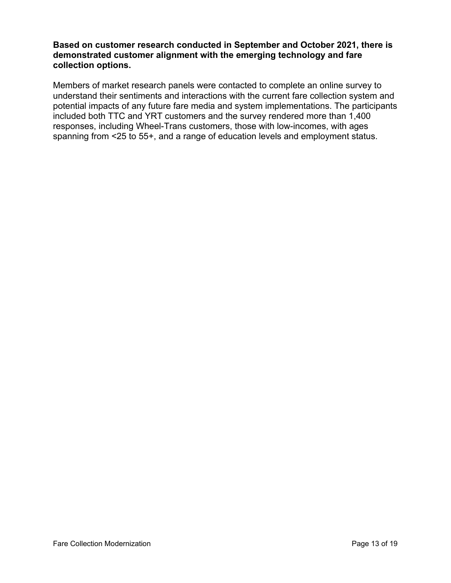# **Based on customer research conducted in September and October 2021, there is demonstrated customer alignment with the emerging technology and fare collection options.**

Members of market research panels were contacted to complete an online survey to understand their sentiments and interactions with the current fare collection system and potential impacts of any future fare media and system implementations. The participants included both TTC and YRT customers and the survey rendered more than 1,400 responses, including Wheel-Trans customers, those with low-incomes, with ages spanning from <25 to 55+, and a range of education levels and employment status.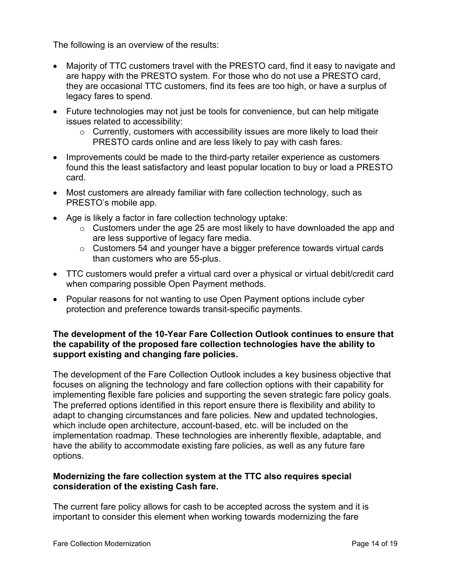The following is an overview of the results:

- Majority of TTC customers travel with the PRESTO card, find it easy to navigate and are happy with the PRESTO system. For those who do not use a PRESTO card, they are occasional TTC customers, find its fees are too high, or have a surplus of legacy fares to spend.
- Future technologies may not just be tools for convenience, but can help mitigate issues related to accessibility:
	- $\circ$  Currently, customers with accessibility issues are more likely to load their PRESTO cards online and are less likely to pay with cash fares.
- Improvements could be made to the third-party retailer experience as customers found this the least satisfactory and least popular location to buy or load a PRESTO card.
- Most customers are already familiar with fare collection technology, such as PRESTO's mobile app.
- Age is likely a factor in fare collection technology uptake:
	- $\circ$  Customers under the age 25 are most likely to have downloaded the app and are less supportive of legacy fare media.
	- o Customers 54 and younger have a bigger preference towards virtual cards than customers who are 55-plus.
- TTC customers would prefer a virtual card over a physical or virtual debit/credit card when comparing possible Open Payment methods.
- Popular reasons for not wanting to use Open Payment options include cyber protection and preference towards transit-specific payments.

# **The development of the 10-Year Fare Collection Outlook continues to ensure that the capability of the proposed fare collection technologies have the ability to support existing and changing fare policies.**

The development of the Fare Collection Outlook includes a key business objective that focuses on aligning the technology and fare collection options with their capability for implementing flexible fare policies and supporting the seven strategic fare policy goals. The preferred options identified in this report ensure there is flexibility and ability to adapt to changing circumstances and fare policies. New and updated technologies, which include open architecture, account-based, etc. will be included on the implementation roadmap. These technologies are inherently flexible, adaptable, and have the ability to accommodate existing fare policies, as well as any future fare options.

# **Modernizing the fare collection system at the TTC also requires special consideration of the existing Cash fare.**

The current fare policy allows for cash to be accepted across the system and it is important to consider this element when working towards modernizing the fare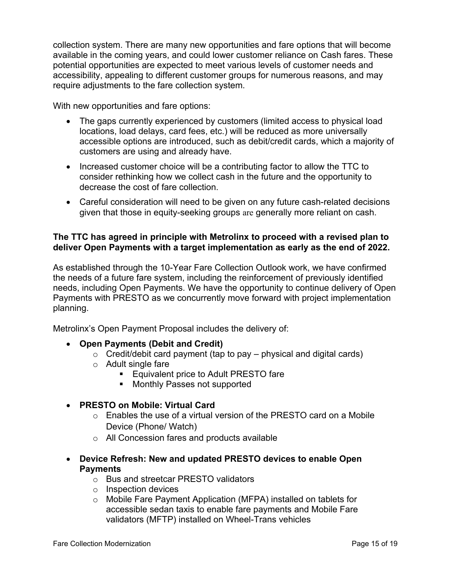collection system. There are many new opportunities and fare options that will become available in the coming years, and could lower customer reliance on Cash fares. These potential opportunities are expected to meet various levels of customer needs and accessibility, appealing to different customer groups for numerous reasons, and may require adjustments to the fare collection system.

With new opportunities and fare options:

- The gaps currently experienced by customers (limited access to physical load locations, load delays, card fees, etc.) will be reduced as more universally accessible options are introduced, such as debit/credit cards, which a majority of customers are using and already have.
- Increased customer choice will be a contributing factor to allow the TTC to consider rethinking how we collect cash in the future and the opportunity to decrease the cost of fare collection.
- Careful consideration will need to be given on any future cash-related decisions given that those in equity-seeking groups are generally more reliant on cash.

### **The TTC has agreed in principle with Metrolinx to proceed with a revised plan to deliver Open Payments with a target implementation as early as the end of 2022.**

As established through the 10-Year Fare Collection Outlook work, we have confirmed the needs of a future fare system, including the reinforcement of previously identified needs, including Open Payments. We have the opportunity to continue delivery of Open Payments with PRESTO as we concurrently move forward with project implementation planning.

Metrolinx's Open Payment Proposal includes the delivery of:

# **Open Payments (Debit and Credit)**

- $\circ$  Credit/debit card payment (tap to pay physical and digital cards)
- o Adult single fare
	- **Equivalent price to Adult PRESTO fare**
	- Monthly Passes not supported
- **PRESTO on Mobile: Virtual Card**
	- $\circ$  Enables the use of a virtual version of the PRESTO card on a Mobile Device (Phone/ Watch)
	- o All Concession fares and products available
- **Device Refresh: New and updated PRESTO devices to enable Open Payments**
	- o Bus and streetcar PRESTO validators
	- o Inspection devices
	- o Mobile Fare Payment Application (MFPA) installed on tablets for accessible sedan taxis to enable fare payments and Mobile Fare validators (MFTP) installed on Wheel-Trans vehicles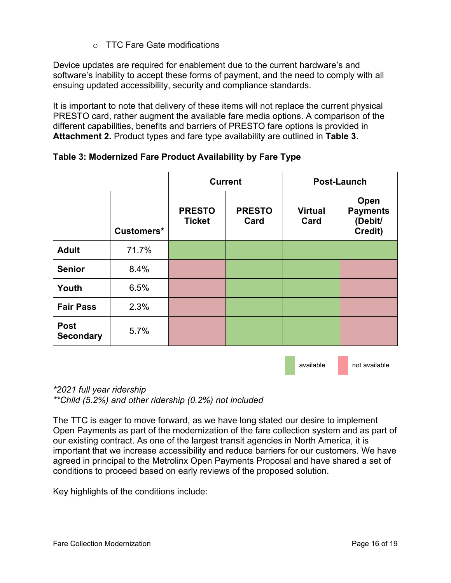# o TTC Fare Gate modifications

Device updates are required for enablement due to the current hardware's and software's inability to accept these forms of payment, and the need to comply with all ensuing updated accessibility, security and compliance standards.

It is important to note that delivery of these items will not replace the current physical PRESTO card, rather augment the available fare media options. A comparison of the different capabilities, benefits and barriers of PRESTO fare options is provided in **Attachment 2.** Product types and fare type availability are outlined in **Table 3**.

|                                 |            | <b>Current</b>                 |                       | Post-Launch            |                                               |
|---------------------------------|------------|--------------------------------|-----------------------|------------------------|-----------------------------------------------|
|                                 | Customers* | <b>PRESTO</b><br><b>Ticket</b> | <b>PRESTO</b><br>Card | <b>Virtual</b><br>Card | Open<br><b>Payments</b><br>(Debit/<br>Credit) |
| <b>Adult</b>                    | 71.7%      |                                |                       |                        |                                               |
| <b>Senior</b>                   | 8.4%       |                                |                       |                        |                                               |
| Youth                           | 6.5%       |                                |                       |                        |                                               |
| <b>Fair Pass</b>                | 2.3%       |                                |                       |                        |                                               |
| <b>Post</b><br><b>Secondary</b> | 5.7%       |                                |                       |                        |                                               |

# **Table 3: Modernized Fare Product Availability by Fare Type**

available not available

*\*2021 full year ridership \*\*Child (5.2%) and other ridership (0.2%) not included*

The TTC is eager to move forward, as we have long stated our desire to implement Open Payments as part of the modernization of the fare collection system and as part of our existing contract. As one of the largest transit agencies in North America, it is important that we increase accessibility and reduce barriers for our customers. We have agreed in principal to the Metrolinx Open Payments Proposal and have shared a set of conditions to proceed based on early reviews of the proposed solution.

Key highlights of the conditions include: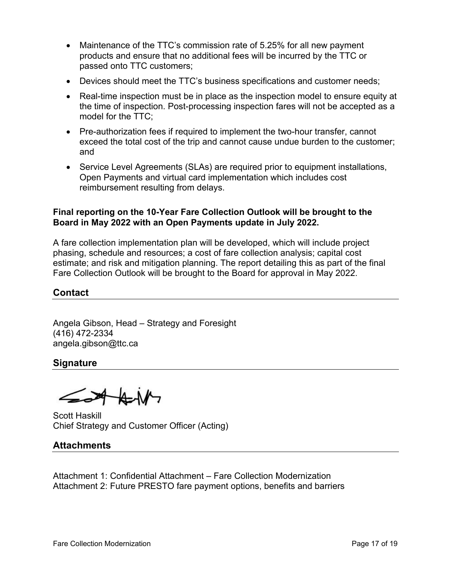- Maintenance of the TTC's commission rate of 5.25% for all new payment products and ensure that no additional fees will be incurred by the TTC or passed onto TTC customers;
- Devices should meet the TTC's business specifications and customer needs;
- Real-time inspection must be in place as the inspection model to ensure equity at the time of inspection. Post-processing inspection fares will not be accepted as a model for the TTC;
- Pre-authorization fees if required to implement the two-hour transfer, cannot exceed the total cost of the trip and cannot cause undue burden to the customer; and
- Service Level Agreements (SLAs) are required prior to equipment installations, Open Payments and virtual card implementation which includes cost reimbursement resulting from delays.

### **Final reporting on the 10-Year Fare Collection Outlook will be brought to the Board in May 2022 with an Open Payments update in July 2022.**

A fare collection implementation plan will be developed, which will include project phasing, schedule and resources; a cost of fare collection analysis; capital cost estimate; and risk and mitigation planning. The report detailing this as part of the final Fare Collection Outlook will be brought to the Board for approval in May 2022.

# **Contact**

Angela Gibson, Head – Strategy and Foresight (416) 472-2334 angela.gibson@ttc.ca

**Signature**

Scott Haskill Chief Strategy and Customer Officer (Acting)

# **Attachments**

Attachment 1: Confidential Attachment – Fare Collection Modernization Attachment 2: Future PRESTO fare payment options, benefits and barriers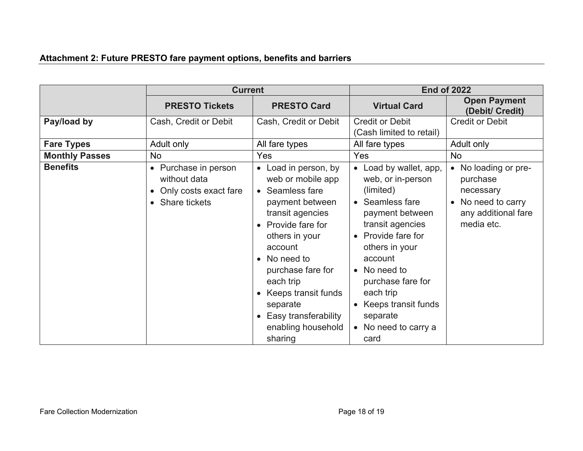# **Attachment 2: Future PRESTO fare payment options, benefits and barriers**

|                       | <b>Current</b>                                                                   |                                                                                                                                                                                                                                                                                                                                                      | <b>End of 2022</b>                                                                                                                                                                                                                                                                           |                                                                                                                                |
|-----------------------|----------------------------------------------------------------------------------|------------------------------------------------------------------------------------------------------------------------------------------------------------------------------------------------------------------------------------------------------------------------------------------------------------------------------------------------------|----------------------------------------------------------------------------------------------------------------------------------------------------------------------------------------------------------------------------------------------------------------------------------------------|--------------------------------------------------------------------------------------------------------------------------------|
|                       | <b>PRESTO Tickets</b>                                                            | <b>PRESTO Card</b>                                                                                                                                                                                                                                                                                                                                   | <b>Virtual Card</b>                                                                                                                                                                                                                                                                          | <b>Open Payment</b><br>(Debit/ Credit)                                                                                         |
| Pay/load by           | Cash, Credit or Debit                                                            | Cash, Credit or Debit                                                                                                                                                                                                                                                                                                                                | <b>Credit or Debit</b><br>(Cash limited to retail)                                                                                                                                                                                                                                           | <b>Credit or Debit</b>                                                                                                         |
| <b>Fare Types</b>     | Adult only                                                                       | All fare types                                                                                                                                                                                                                                                                                                                                       | All fare types                                                                                                                                                                                                                                                                               | Adult only                                                                                                                     |
| <b>Monthly Passes</b> | <b>No</b>                                                                        | Yes                                                                                                                                                                                                                                                                                                                                                  | Yes                                                                                                                                                                                                                                                                                          | <b>No</b>                                                                                                                      |
| <b>Benefits</b>       | • Purchase in person<br>without data<br>Only costs exact fare<br>• Share tickets | • Load in person, by<br>web or mobile app<br>• Seamless fare<br>payment between<br>transit agencies<br>Provide fare for<br>$\bullet$<br>others in your<br>account<br>No need to<br>$\bullet$<br>purchase fare for<br>each trip<br>Keeps transit funds<br>$\bullet$<br>separate<br>Easy transferability<br>$\bullet$<br>enabling household<br>sharing | • Load by wallet, app,<br>web, or in-person<br>(limited)<br>• Seamless fare<br>payment between<br>transit agencies<br>• Provide fare for<br>others in your<br>account<br>• No need to<br>purchase fare for<br>each trip<br>• Keeps transit funds<br>separate<br>• No need to carry a<br>card | No loading or pre-<br>$\bullet$<br>purchase<br>necessary<br>No need to carry<br>$\bullet$<br>any additional fare<br>media etc. |